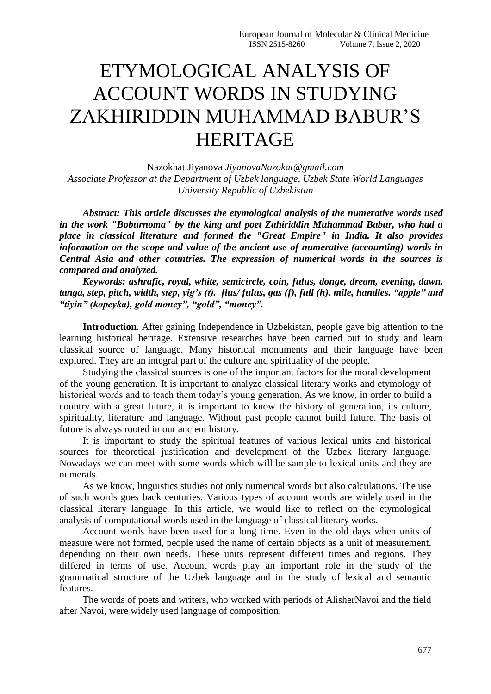## ETYMOLOGICAL ANALYSIS OF ACCOUNT WORDS IN STUDYING ZAKHIRIDDIN MUHAMMAD BABUR'S HERITAGE

Nazokhat Jiyanova *JiyanovaNazokat@gmail.com Associate Professor at the Department of Uzbek language, Uzbek State World Languages University Republic of Uzbekistan* 

*Abstract: This article discusses the etymological analysis of the numerative words used in the work "Boburnoma" by the king and poet Zahiriddin Muhammad Babur, who had a place in classical literature and formed the "Great Empire" in India. It also provides information on the scope and value of the ancient use of numerative (accounting) words in Central Asia and other countries. The expression of numerical words in the sources is compared and analyzed.*

*Keywords: ashrafic, royal, white, semicircle, coin, fulus, donge, dream, evening, dawn, tanga, step, pitch, width, step, yig's (t). flus/ fulus, gas (f), full (h). mile, handles. "apple" and "tiyin" (kopeyka), gold money", "gold", "money".*

**Introduction**. After gaining Independence in Uzbekistan, people gave big attention to the learning historical heritage. Extensive researches have been carried out to study and learn classical source of language. Many historical monuments and their language have been explored. They are an integral part of the culture and spirituality of the people.

Studying the classical sources is one of the important factors for the moral development of the young generation. It is important to analyze classical literary works and etymology of historical words and to teach them today's young generation. As we know, in order to build a country with a great future, it is important to know the history of generation, its culture, spirituality, literature and language. Without past people cannot build future. The basis of future is always rooted in our ancient history.

It is important to study the spiritual features of various lexical units and historical sources for theoretical justification and development of the Uzbek literary language. Nowadays we can meet with some words which will be sample to lexical units and they are numerals.

As we know, linguistics studies not only numerical words but also calculations. The use of such words goes back centuries. Various types of account words are widely used in the classical literary language. In this article, we would like to reflect on the etymological analysis of computational words used in the language of classical literary works.

Account words have been used for a long time. Even in the old days when units of measure were not formed, people used the name of certain objects as a unit of measurement, depending on their own needs. These units represent different times and regions. They differed in terms of use. Account words play an important role in the study of the grammatical structure of the Uzbek language and in the study of lexical and semantic features.

The words of poets and writers, who worked with periods of AlisherNavoi and the field after Navoi, were widely used language of composition.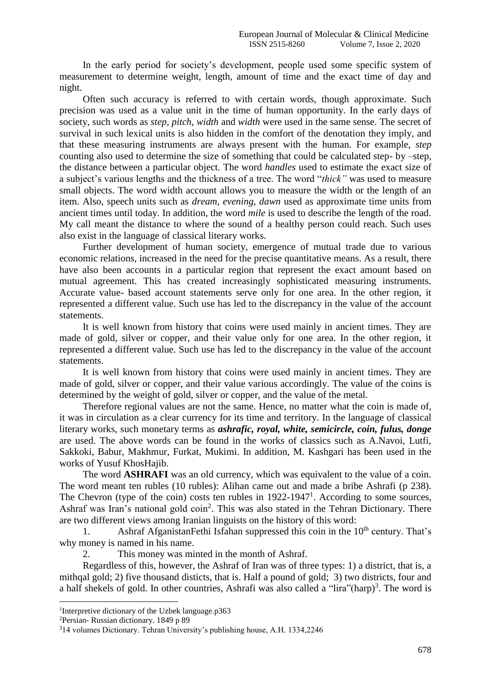In the early period for society's development, people used some specific system of measurement to determine weight, length, amount of time and the exact time of day and night.

Often such accuracy is referred to with certain words, though approximate. Such precision was used as a value unit in the time of human opportunity. In the early days of society, such words as *step, pitch, width* and *width* were used in the same sense. The secret of survival in such lexical units is also hidden in the comfort of the denotation they imply, and that these measuring instruments are always present with the human. For example, *step* counting also used to determine the size of something that could be calculated step- by –step, the distance between a particular object. The word *handles* used to estimate the exact size of a subject's various lengths and the thickness of a tree. The word "*thick"* was used to measure small objects. The word width account allows you to measure the width or the length of an item. Also, speech units such as *dream, evening, dawn* used as approximate time units from ancient times until today. In addition, the word *mile* is used to describe the length of the road. My call meant the distance to where the sound of a healthy person could reach. Such uses also exist in the language of classical literary works.

Further development of human society, emergence of mutual trade due to various economic relations, increased in the need for the precise quantitative means. As a result, there have also been accounts in a particular region that represent the exact amount based on mutual agreement. This has created increasingly sophisticated measuring instruments. Accurate value- based account statements serve only for one area. In the other region, it represented a different value. Such use has led to the discrepancy in the value of the account statements.

It is well known from history that coins were used mainly in ancient times. They are made of gold, silver or copper, and their value only for one area. In the other region, it represented a different value. Such use has led to the discrepancy in the value of the account statements.

It is well known from history that coins were used mainly in ancient times. They are made of gold, silver or copper, and their value various accordingly. The value of the coins is determined by the weight of gold, silver or copper, and the value of the metal.

Therefore regional values are not the same. Hence, no matter what the coin is made of, it was in circulation as a clear currency for its time and territory. In the language of classical literary works, such monetary terms as *ashrafic, royal, white, semicircle, coin, fulus, donge* are used. The above words can be found in the works of classics such as A.Navoi, Lutfi, Sakkoki, Babur, Makhmur, Furkat, Mukimi. In addition, M. Kashgari has been used in the works of Yusuf KhosHajib.

The word **ASHRAFI** was an old currency, which was equivalent to the value of a coin. The word meant ten rubles (10 rubles): Alihan came out and made a bribe Ashrafi (p 238). The Chevron (type of the coin) costs ten rubles in  $1922-1947<sup>1</sup>$ . According to some sources, Ashraf was Iran's national gold coin<sup>2</sup>. This was also stated in the Tehran Dictionary. There are two different views among Iranian linguists on the history of this word:

1. Ashraf AfganistanFethi Isfahan suppressed this coin in the 10<sup>th</sup> century. That's why money is named in his name.

2. This money was minted in the month of Ashraf.

Regardless of this, however, the Ashraf of Iran was of three types: 1) a district, that is, a mithqal gold; 2) five thousand disticts, that is. Half a pound of gold; 3) two districts, four and a half shekels of gold. In other countries, Ashrafi was also called a "lira" $(harp)^3$ . The word is

1

<sup>1</sup> Interpretive dictionary of the Uzbek language.p363

<sup>2</sup>Persian- Russian dictionary. 1849 p 89

<sup>3</sup>14 volumes Dictionary. Tehran University's publishing house, A.H. 1334,2246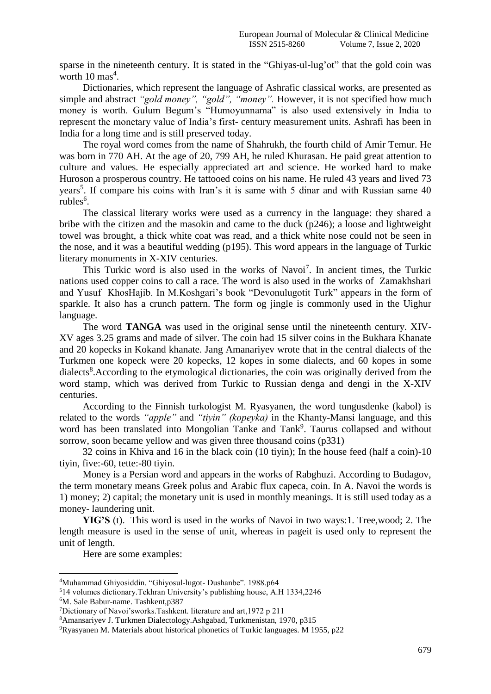sparse in the nineteenth century. It is stated in the "Ghiyas-ul-lug'ot" that the gold coin was worth  $10 \text{ mas}^4$ .

Dictionaries, which represent the language of Ashrafic classical works, are presented as simple and abstract *"gold money", "gold", "money".* However, it is not specified how much money is worth. Gulum Begum's "Humoyunnama" is also used extensively in India to represent the monetary value of India's first- century measurement units. Ashrafi has been in India for a long time and is still preserved today.

The royal word comes from the name of Shahrukh, the fourth child of Amir Temur. He was born in 770 AH. At the age of 20, 799 AH, he ruled Khurasan. He paid great attention to culture and values. He especially appreciated art and science. He worked hard to make Huroson a prosperous country. He tattooed coins on his name. He ruled 43 years and lived 73 years<sup>5</sup>. If compare his coins with Iran's it is same with 5 dinar and with Russian same 40 rubles<sup>6</sup>.

The classical literary works were used as a currency in the language: they shared a bribe with the citizen and the masokin and came to the duck (p246); a loose and lightweight towel was brought, a thick white coat was read, and a thick white nose could not be seen in the nose, and it was a beautiful wedding (p195). This word appears in the language of Turkic literary monuments in X-XIV centuries.

This Turkic word is also used in the works of Navoi<sup>7</sup>. In ancient times, the Turkic nations used copper coins to call a race. The word is also used in the works of Zamakhshari and Yusuf KhosHajib. In M.Koshgari's book "Devonulugotit Turk" appears in the form of sparkle. It also has a crunch pattern. The form og jingle is commonly used in the Uighur language.

The word **TANGA** was used in the original sense until the nineteenth century. XIV-XV ages 3.25 grams and made of silver. The coin had 15 silver coins in the Bukhara Khanate and 20 kopecks in Kokand khanate. Jang Amanariyev wrote that in the central dialects of the Turkmen one kopeck were 20 kopecks, 12 kopes in some dialects, and 60 kopes in some dialects<sup>8</sup>. According to the etymological dictionaries, the coin was originally derived from the word stamp, which was derived from Turkic to Russian denga and dengi in the X-XIV centuries.

According to the Finnish turkologist M. Ryasyanen, the word tungusdenke (kabol) is related to the words *"apple"* and *"tiyin" (kopeyka)* in the Khanty-Mansi language, and this word has been translated into Mongolian Tanke and Tank<sup>9</sup>. Taurus collapsed and without sorrow, soon became yellow and was given three thousand coins (p331)

32 coins in Khiva and 16 in the black coin (10 tiyin); In the house feed (half a coin)-10 tiyin, five:-60, tette:-80 tiyin.

Money is a Persian word and appears in the works of Rabghuzi. According to Budagov, the term monetary means Greek polus and Arabic flux capeca, coin. In A. Navoi the words is 1) money; 2) capital; the monetary unit is used in monthly meanings. It is still used today as a money- laundering unit.

**YIG'S** (t). This word is used in the works of Navoi in two ways:1. Tree,wood; 2. The length measure is used in the sense of unit, whereas in pageit is used only to represent the unit of length.

Here are some examples:

1

<sup>4</sup>Muhammad Ghiyosiddin. "Ghiyosul-lugot- Dushanbe". 1988.p64

<sup>5</sup>14 volumes dictionary.Tekhran University's publishing house, A.H 1334,2246

<sup>6</sup>M. Sale Babur-name. Tashkent,p387

<sup>7</sup>Dictionary of Navoi'sworks.Tashkent. literature and art,1972 p 211

<sup>8</sup>Amansariyev J. Turkmen Dialectology.Ashgabad, Turkmenistan, 1970, p315

<sup>9</sup>Ryasyanen M. Materials about historical phonetics of Turkic languages. M 1955, p22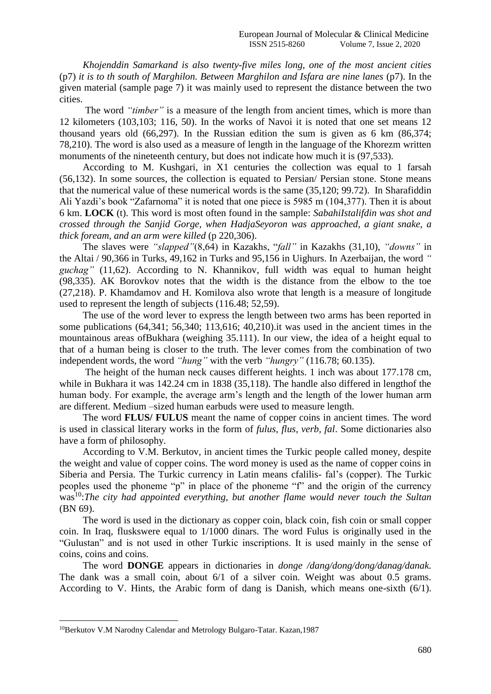*Khojenddin Samarkand is also twenty-five miles long, one of the most ancient cities*  (p7) *it is to th south of Marghilon. Between Marghilon and Isfara are nine lanes* (p7). In the given material (sample page 7) it was mainly used to represent the distance between the two cities.

The word *"timber"* is a measure of the length from ancient times, which is more than 12 kilometers (103,103; 116, 50). In the works of Navoi it is noted that one set means 12 thousand years old (66,297). In the Russian edition the sum is given as 6 km (86,374; 78,210). The word is also used as a measure of length in the language of the Khorezm written monuments of the nineteenth century, but does not indicate how much it is (97,533).

According to M. Kushgari, in X1 centuries the collection was equal to 1 farsah (56,132). In some sources, the collection is equated to Persian/ Persian stone. Stone means that the numerical value of these numerical words is the same (35,120; 99.72). In Sharafiddin Ali Yazdi's book "Zafarnoma" it is noted that one piece is 5985 m (104,377). Then it is about 6 km. **LOCK** (t). This word is most often found in the sample: *SabahiIstalifdin was shot and crossed through the Sanjid Gorge, when HadjaSeyoron was approached, a giant snake, a thick foream, and an arm were killed* (p 220,306).

The slaves were *"slapped"*(8,64) in Kazakhs, "*fall"* in Kazakhs (31,10), *"downs"* in the Altai / 90,366 in Turks, 49,162 in Turks and 95,156 in Uighurs. In Azerbaijan, the word *" guchag"* (11,62). According to N. Khannikov, full width was equal to human height (98,335). AK Borovkov notes that the width is the distance from the elbow to the toe (27,218). P. Khamdamov and H. Komilova also wrote that length is a measure of longitude used to represent the length of subjects (116.48; 52,59).

The use of the word lever to express the length between two arms has been reported in some publications (64,341; 56,340; 113,616; 40,210).it was used in the ancient times in the mountainous areas ofBukhara (weighing 35.111). In our view, the idea of a height equal to that of a human being is closer to the truth. The lever comes from the combination of two independent words, the word *"hung"* with the verb *"hungry"* (116.78; 60.135).

The height of the human neck causes different heights. 1 inch was about 177.178 cm, while in Bukhara it was 142.24 cm in 1838 (35,118). The handle also differed in lengthof the human body. For example, the average arm's length and the length of the lower human arm are different. Medium –sized human earbuds were used to measure length.

The word **FLUS/ FULUS** meant the name of copper coins in ancient times. The word is used in classical literary works in the form of *fulus, flus, verb, fal*. Some dictionaries also have a form of philosophy.

According to V.M. Berkutov, in ancient times the Turkic people called money, despite the weight and value of copper coins. The word money is used as the name of copper coins in Siberia and Persia. The Turkic currency in Latin means cfalilis- fal's (copper). The Turkic peoples used the phoneme "p" in place of the phoneme "f" and the origin of the currency was<sup>10</sup>: The city had appointed everything, but another flame would never touch the Sultan (BN 69).

The word is used in the dictionary as copper coin, black coin, fish coin or small copper coin. In Iraq, fluskswere equal to 1/1000 dinars. The word Fulus is originally used in the "Gulustan" and is not used in other Turkic inscriptions. It is used mainly in the sense of coins, coins and coins.

The word **DONGE** appears in dictionaries in *donge /dang/dong/dong/danag/danak.* The dank was a small coin, about 6/1 of a silver coin. Weight was about 0.5 grams. According to V. Hints, the Arabic form of dang is Danish, which means one-sixth (6/1).

**.** 

<sup>10</sup>Berkutov V.M Narodny Calendar and Metrology Bulgaro-Tatar. Kazan,1987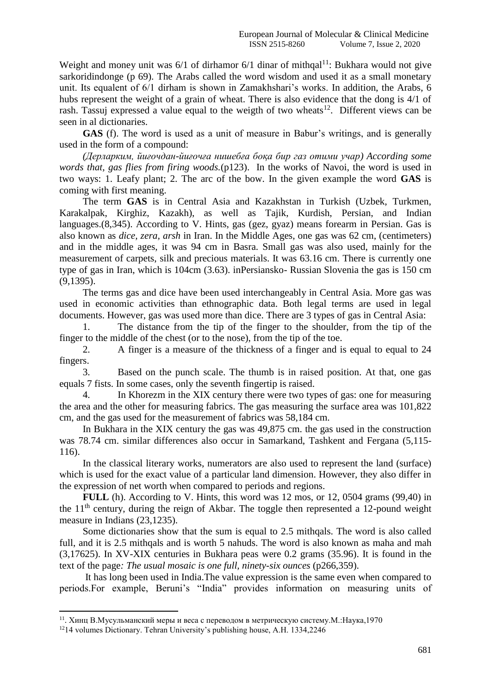Weight and money unit was  $6/1$  of dirhamor  $6/1$  dinar of mithqal<sup>11</sup>: Bukhara would not give sarkoridindonge (p 69). The Arabs called the word wisdom and used it as a small monetary unit. Its equalent of 6/1 dirham is shown in Zamakhshari's works. In addition, the Arabs, 6 hubs represent the weight of a grain of wheat. There is also evidence that the dong is 4/1 of rash. Tassuj expressed a value equal to the weigth of two wheats<sup>12</sup>. Different views can be seen in al dictionaries.

**GAS** (f). The word is used as a unit of measure in Babur's writings, and is generally used in the form of a compound:

*(Дерларким, йиғочдан-йиғочға нишебға боқа бир газ отими учар) According some words that, gas flies from firing woods.*(p123). In the works of Navoi, the word is used in two ways: 1. Leafy plant; 2. The arc of the bow. In the given example the word **GAS** is coming with first meaning.

The term **GAS** is in Central Asia and Kazakhstan in Turkish (Uzbek, Turkmen, Karakalpak, Kirghiz, Kazakh), as well as Tajik, Kurdish, Persian, and Indian languages.(8,345). According to V. Hints, gas (gez, gyaz) means forearm in Persian. Gas is also known as *dice, zera, arsh* in Iran. In the Middle Ages, one gas was 62 cm, (centimeters) and in the middle ages, it was 94 cm in Basra. Small gas was also used, mainly for the measurement of carpets, silk and precious materials. It was 63.16 cm. There is currently one type of gas in Iran, which is 104cm (3.63). inPersiansko- Russian Slovenia the gas is 150 cm (9,1395).

The terms gas and dice have been used interchangeably in Central Asia. More gas was used in economic activities than ethnographic data. Both legal terms are used in legal documents. However, gas was used more than dice. There are 3 types of gas in Central Asia:

1. The distance from the tip of the finger to the shoulder, from the tip of the finger to the middle of the chest (or to the nose), from the tip of the toe.

2. A finger is a measure of the thickness of a finger and is equal to equal to 24 fingers.

3. Based on the punch scale. The thumb is in raised position. At that, one gas equals 7 fists. In some cases, only the seventh fingertip is raised.

4. In Khorezm in the XIX century there were two types of gas: one for measuring the area and the other for measuring fabrics. The gas measuring the surface area was 101,822 cm, and the gas used for the measurement of fabrics was 58,184 cm.

In Bukhara in the XIX century the gas was 49,875 cm. the gas used in the construction was 78.74 cm. similar differences also occur in Samarkand, Tashkent and Fergana (5,115- 116).

In the classical literary works, numerators are also used to represent the land (surface) which is used for the exact value of a particular land dimension. However, they also differ in the expression of net worth when compared to periods and regions.

**FULL** (h). According to V. Hints, this word was 12 mos, or 12, 0504 grams (99,40) in the  $11<sup>th</sup>$  century, during the reign of Akbar. The toggle then represented a 12-pound weight measure in Indians (23,1235).

Some dictionaries show that the sum is equal to 2.5 mithqals. The word is also called full, and it is 2.5 mithqals and is worth 5 nahuds. The word is also known as maha and mah (3,17625). In XV-XIX centuries in Bukhara peas were 0.2 grams (35.96). It is found in the text of the page*: The usual mosaic is one full, ninety-six ounces* (p266,359).

It has long been used in India.The value expression is the same even when compared to periods.For example, Beruni's "India" provides information on measuring units of

**.** 

<sup>&</sup>lt;sup>11</sup>. Хинц В.Мусульманский меры и веса с переводом в метрическую систему.М.:Наука,1970

<sup>12</sup>14 volumes Dictionary. Tehran University's publishing house, A.H. 1334,2246